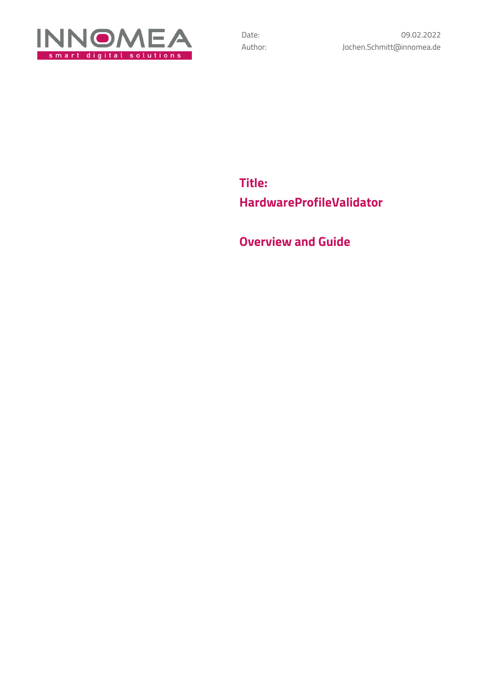

**Title: HardwareProfileValidator**

**Overview and Guide**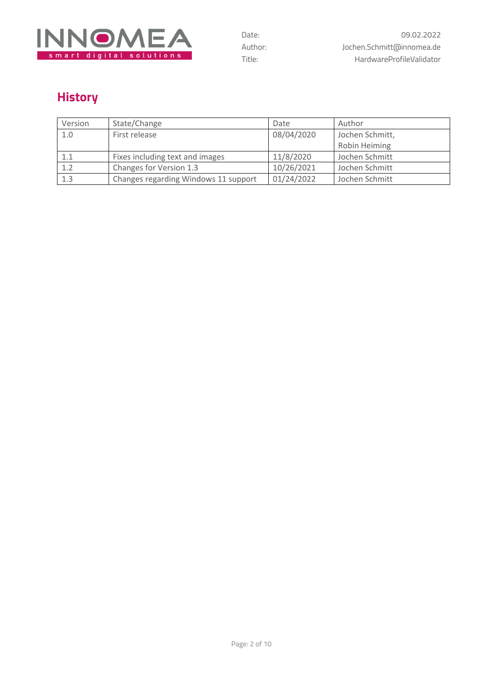

# **History**

| Version | State/Change                         | Date       | Author          |  |
|---------|--------------------------------------|------------|-----------------|--|
| 1.0     | First release                        | 08/04/2020 | Jochen Schmitt, |  |
|         |                                      |            | Robin Heiming   |  |
| 1.1     | Fixes including text and images      | 11/8/2020  | Jochen Schmitt  |  |
| 1.2     | Changes for Version 1.3              | 10/26/2021 | Jochen Schmitt  |  |
| 1.3     | Changes regarding Windows 11 support | 01/24/2022 | Jochen Schmitt  |  |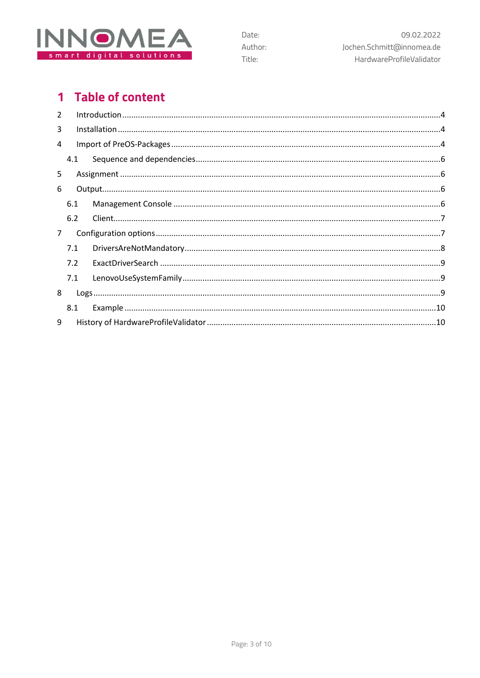

## 1 Table of content

| 4.1<br>6.1<br>6.2<br>7.1<br>7.2<br>7.1<br>8.1 |  |
|-----------------------------------------------|--|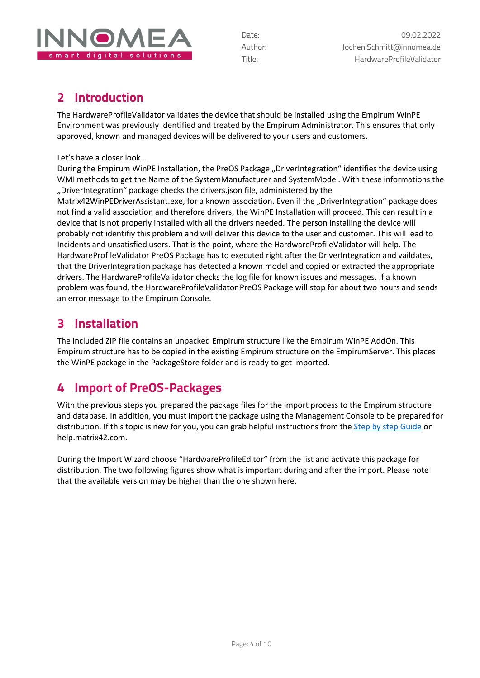

### <span id="page-3-0"></span>**2 Introduction**

The HardwareProfileValidator validates the device that should be installed using the Empirum WinPE Environment was previously identified and treated by the Empirum Administrator. This ensures that only approved, known and managed devices will be delivered to your users and customers.

#### Let's have a closer look ...

During the Empirum WinPE Installation, the PreOS Package "DriverIntegration" identifies the device using WMI methods to get the Name of the SystemManufacturer and SystemModel. With these informations the "DriverIntegration" package checks the drivers.json file, administered by the Matrix42WinPEDriverAssistant.exe, for a known association. Even if the "DriverIntegration" package does not find a valid association and therefore drivers, the WinPE Installation will proceed. This can result in a device that is not properly installed with all the drivers needed. The person installing the device will probably not identifiy this problem and will deliver this device to the user and customer. This will lead to Incidents and unsatisfied users. That is the point, where the HardwareProfileValidator will help. The HardwareProfileValidator PreOS Package has to executed right after the DriverIntegration and vaildates, that the DriverIntegration package has detected a known model and copied or extracted the appropriate drivers. The HardwareProfileValidator checks the log file for known issues and messages. If a known problem was found, the HardwareProfileValidator PreOS Package will stop for about two hours and sends an error message to the Empirum Console.

### <span id="page-3-1"></span>**3 Installation**

The included ZIP file contains an unpacked Empirum structure like the Empirum WinPE AddOn. This Empirum structure has to be copied in the existing Empirum structure on the EmpirumServer. This places the WinPE package in the PackageStore folder and is ready to get imported.

### <span id="page-3-2"></span>**4 Import of PreOS-Packages**

With the previous steps you prepared the package files for the import process to the Empirum structure and database. In addition, you must import the package using the Management Console to be prepared for distribution. If this topic is new for you, you can grab helpful instructions from the [Step by step Guide](https://help.matrix42.com/010_SUEM/020_UEM/20Client_Management/OS_Deployment_Guide/WinPE_-_HowTo/2_Step_by_step_guide) on help.matrix42.com.

During the Import Wizard choose "HardwareProfileEditor" from the list and activate this package for distribution. The two following figures show what is important during and after the import. Please note that the available version may be higher than the one shown here.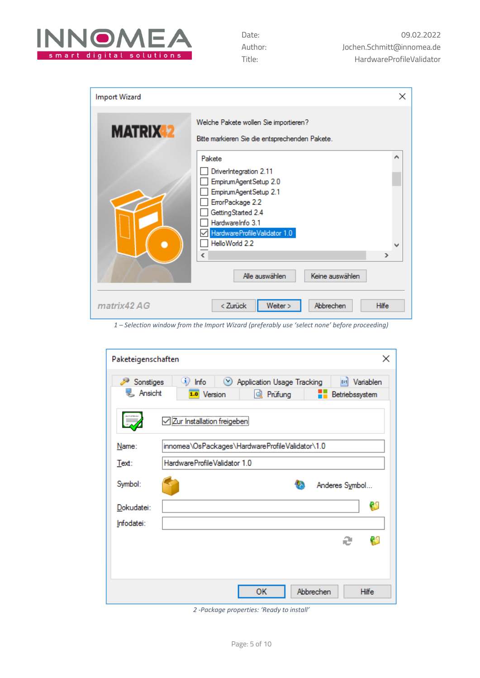

| <b>Import Wizard</b> |                                                                                                                                                                                                                                                       | ×             |
|----------------------|-------------------------------------------------------------------------------------------------------------------------------------------------------------------------------------------------------------------------------------------------------|---------------|
| <b>MATRIX 2</b>      | Welche Pakete wollen Sie importieren?<br>Bitte markieren Sie die entsprechenden Pakete.                                                                                                                                                               |               |
|                      | Pakete<br>DriverIntegration 2.11<br>EmpirumAgentSetup 2.0<br>EmpirumAgentSetup 2.1<br>ErrorPackage 2.2<br>GettingStarted 2.4<br>HardwareInfo 3.1<br>HardwareProfileValidator 1.0<br>HelloWorld 2.2<br>$\epsilon$<br>Alle auswählen<br>Keine auswählen | $\rightarrow$ |
| matrix42 AG          | Abbrechen<br>< Zurück<br>Weiter $>$                                                                                                                                                                                                                   | <b>Hilfe</b>  |

*1 – Selection window from the Import Wizard (preferably use 'select none' before proceeding)* 

| Paketeigenschaften   | ×                                                                                                                                                      |
|----------------------|--------------------------------------------------------------------------------------------------------------------------------------------------------|
| Sonstiges<br>Ansicht | $\mathbf{d}$ Info<br>E=1 Variablen<br>Application Usage Tracking<br>Version<br>Q Prüfung<br>1.0<br><b>Betriebssystem</b><br>Zur Installation freigeben |
| Name:<br>Text:       | innomea\OsPackages\HardwareProfileValidator\1.0<br>Hardware Profile Validator 1.0                                                                      |
| Symbol:              | Anderes Symbol                                                                                                                                         |
| Dokudatei:           | C)                                                                                                                                                     |
| Infodatei:           |                                                                                                                                                        |
|                      | C٦                                                                                                                                                     |
|                      | Abbrechen<br>ок<br>Hilfe                                                                                                                               |

*2 -Package properties: 'Ready to install'*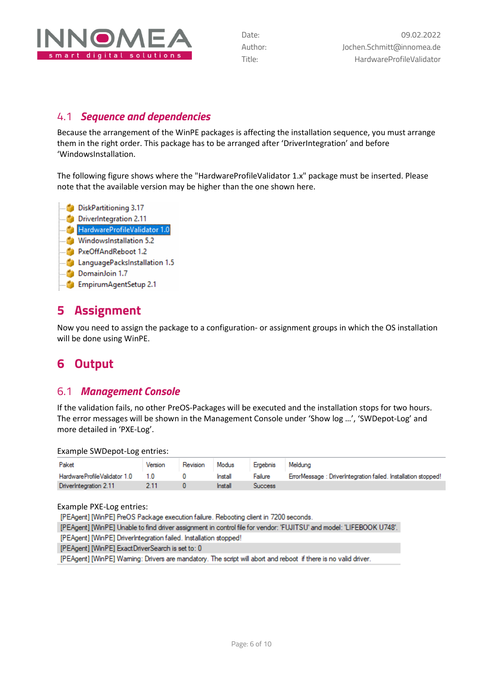

#### <span id="page-5-0"></span>4.1 *Sequence and dependencies*

Because the arrangement of the WinPE packages is affecting the installation sequence, you must arrange them in the right order. This package has to be arranged after 'DriverIntegration' and before 'WindowsInstallation.

The following figure shows where the "HardwareProfileValidator 1.x" package must be inserted. Please note that the available version may be higher than the one shown here.



### <span id="page-5-1"></span>**5 Assignment**

Now you need to assign the package to a configuration- or assignment groups in which the OS installation will be done using WinPE.

### <span id="page-5-2"></span>**6 Output**

#### <span id="page-5-3"></span>6.1 *Management Console*

If the validation fails, no other PreOS-Packages will be executed and the installation stops for two hours. The error messages will be shown in the Management Console under 'Show log …', 'SWDepot-Log' and more detailed in 'PXE-Log'.

Example SWDepot-Log entries:

| Paket                        | Version | Revision | Modus   | Ergebnis       | Melduna                                                       |
|------------------------------|---------|----------|---------|----------------|---------------------------------------------------------------|
| HardwareProfileValidator 1.0 |         |          | Install | Failure        | ErrorMessage: DriverIntegration failed. Installation stopped! |
| DriverIntegration 2.11       |         |          | Install | <b>Success</b> |                                                               |

Example PXE-Log entries:

[PEAgent] [WinPE] PreOS Package execution failure. Rebooting client in 7200 seconds.

[PEAgent] [WinPE] Unable to find driver assignment in control file for vendor: 'FUJITSU' and model: 'LIFEBOOK U748'.

[PEAgent] [WinPE] DriverIntegration failed. Installation stopped!

[PEAgent] [WinPE] ExactDriverSearch is set to: 0

[PEAgent] [WinPE] Waming: Drivers are mandatory. The script will abort and reboot if there is no valid driver.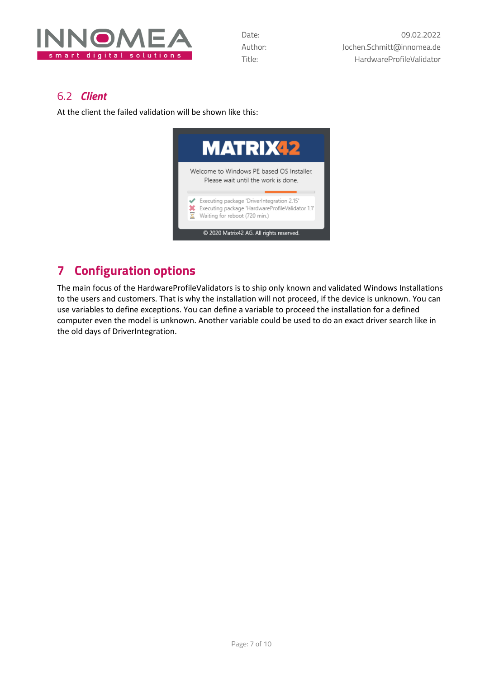

#### <span id="page-6-0"></span>6.2 *Client*

At the client the failed validation will be shown like this:



## <span id="page-6-1"></span>**7 Configuration options**

The main focus of the HardwareProfileValidators is to ship only known and validated Windows Installations to the users and customers. That is why the installation will not proceed, if the device is unknown. You can use variables to define exceptions. You can define a variable to proceed the installation for a defined computer even the model is unknown. Another variable could be used to do an exact driver search like in the old days of DriverIntegration.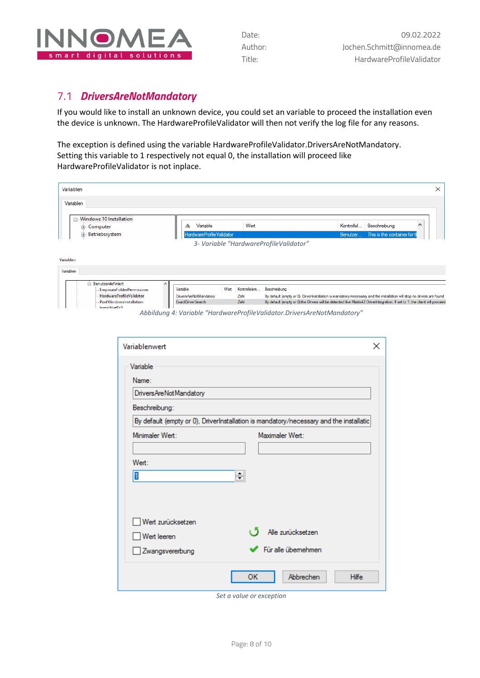

**r** 

#### <span id="page-7-0"></span>7.1 *DriversAreNotMandatory*

If you would like to install an unknown device, you could set an variable to proceed the installation even the device is unknown. The HardwareProfileValidator will then not verify the log file for any reasons.

The exception is defined using the variable HardwareProfileValidator.DriversAreNotMandatory. Setting this variable to 1 respectively not equal 0, the installation will proceed like HardwareProfileValidator is not inplace.

| Variablen                                                          |                                    |                              |                                                                                                                                         |            |                              |  |
|--------------------------------------------------------------------|------------------------------------|------------------------------|-----------------------------------------------------------------------------------------------------------------------------------------|------------|------------------------------|--|
| $\Box$ Windows 10 Installation<br>面 Computer                       | Variable<br>А                      | Wert                         |                                                                                                                                         | Kontrollel | Beschreibung<br>∧            |  |
| Betriebssystem                                                     | Hardware Profile Validator         |                              |                                                                                                                                         | Benutzer   | This is the container for th |  |
| Variablen                                                          |                                    |                              |                                                                                                                                         |            |                              |  |
| Variablen                                                          |                                    |                              |                                                                                                                                         |            |                              |  |
| Benutzerdefiniert<br>$\wedge$                                      |                                    |                              |                                                                                                                                         |            |                              |  |
| <b>EmpirumFolderPermissions</b><br><b>HardwareProfileValidator</b> | Variable<br>DriversAreNotMandatory | Wert<br>Kontrollelem<br>Zahl | Beschreibung<br>By default (empty or 0), DriverInstallation is mandatory/necessary and the installation will stop no drivers are found. |            |                              |  |

| Variablenwert                                                                                                              | × |
|----------------------------------------------------------------------------------------------------------------------------|---|
| Variable<br>Name:<br>DriversAreNotMandatory<br>Beschreibung:                                                               |   |
| By default (empty or 0), DriverInstallation is mandatory/necessary and the installatio                                     |   |
| Minimaler Wert:<br>Maximaler Wert:                                                                                         |   |
| Wert <sup>-</sup>                                                                                                          |   |
| 1<br>≑∣                                                                                                                    |   |
| Wert zurücksetzen<br>ι5<br>Alle zurücksetzen<br>Wert leeren<br>$\blacktriangleright$ Für alle übemehmen<br>Zwangsvererbung |   |
| Abbrechen<br>OK<br><b>Hilfe</b>                                                                                            |   |

*Set a value or exception*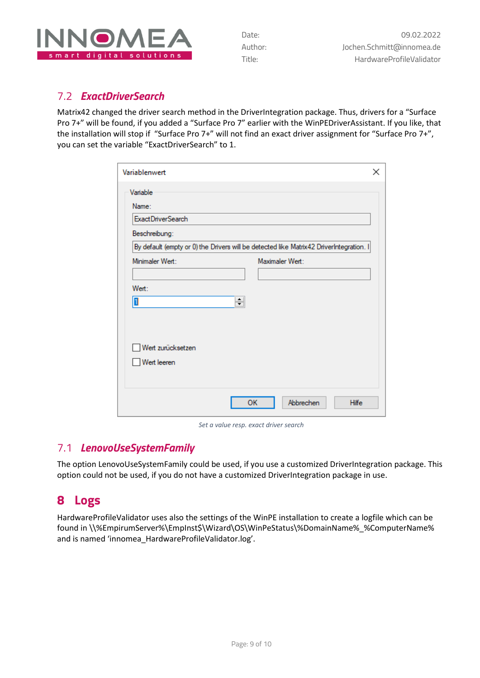

### <span id="page-8-0"></span>7.2 *ExactDriverSearch*

Matrix42 changed the driver search method in the DriverIntegration package. Thus, drivers for a "Surface Pro 7+" will be found, if you added a "Surface Pro 7" earlier with the WinPEDriverAssistant. If you like, that the installation will stop if "Surface Pro 7+" will not find an exact driver assignment for "Surface Pro 7+", you can set the variable "ExactDriverSearch" to 1.

| Variablenwert     | ×                                                                                       |
|-------------------|-----------------------------------------------------------------------------------------|
| Variable          |                                                                                         |
| Name:             |                                                                                         |
| ExactDriverSearch |                                                                                         |
| Beschreibung:     |                                                                                         |
|                   | By default (empty or 0) the Drivers will be detected like Matrix42 DriverIntegration. I |
| Minimaler Wert:   | Maximaler Wert:                                                                         |
|                   |                                                                                         |
| Wert:             |                                                                                         |
| 1                 | ≑∣                                                                                      |
|                   |                                                                                         |
|                   |                                                                                         |
| Wert zurücksetzen |                                                                                         |
| Wert leeren       |                                                                                         |
|                   |                                                                                         |
|                   |                                                                                         |
|                   | Abbrechen<br>OK<br><b>Hilfe</b>                                                         |
|                   |                                                                                         |

*Set a value resp. exact driver search*

#### <span id="page-8-1"></span>7.1 *LenovoUseSystemFamily*

The option LenovoUseSystemFamily could be used, if you use a customized DriverIntegration package. This option could not be used, if you do not have a customized DriverIntegration package in use.

## <span id="page-8-2"></span>**8 Logs**

HardwareProfileValidator uses also the settings of the WinPE installation to create a logfile which can be found in \\%EmpirumServer%\EmpInst\$\Wizard\OS\WinPeStatus\%DomainName%\_%ComputerName% and is named 'innomea\_HardwareProfileValidator.log'.